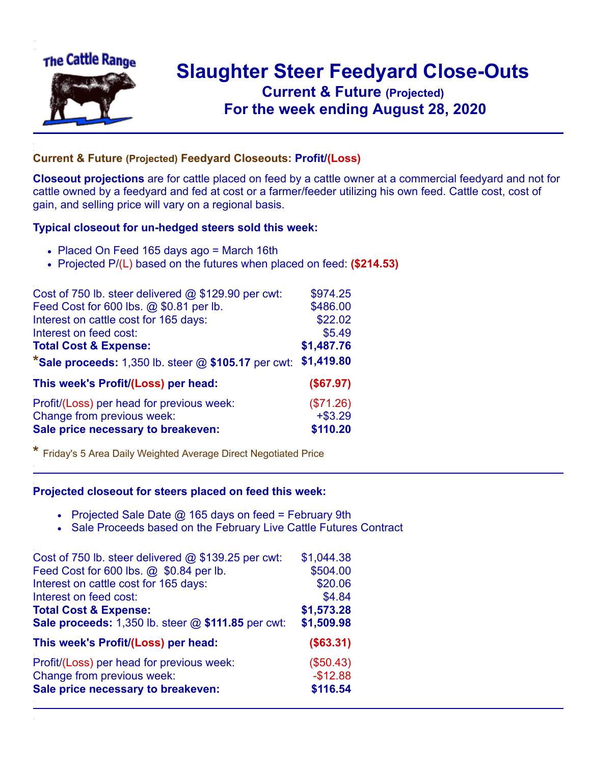

## **Slaughter Steer Feedyard Close-Outs Current & Future (Projected)** .**For the week ending August 28, 2020**

## **Current & Future (Projected) Feedyard Closeouts: Profit/(Loss)**

**Closeout projections** are for cattle placed on feed by a cattle owner at a commercial feedyard and not for cattle owned by a feedyard and fed at cost or a farmer/feeder utilizing his own feed. Cattle cost, cost of gain, and selling price will vary on a regional basis.

## **Typical closeout for un-hedged steers sold this week:**

- Placed On Feed 165 days ago = March 16th
- Projected P/(L) based on the futures when placed on feed: **(\$214.53)**

| Cost of 750 lb. steer delivered @ \$129.90 per cwt:   | \$974.25   |
|-------------------------------------------------------|------------|
| Feed Cost for 600 lbs. @ \$0.81 per lb.               | \$486.00   |
| Interest on cattle cost for 165 days:                 | \$22.02    |
| Interest on feed cost:                                | \$5.49     |
| <b>Total Cost &amp; Expense:</b>                      | \$1,487.76 |
| *Sale proceeds: 1,350 lb. steer $@$ \$105.17 per cwt: | \$1,419.80 |
| This week's Profit/(Loss) per head:                   | (\$67.97)  |
| Profit/(Loss) per head for previous week:             | (\$71.26)  |
| Change from previous week:                            | $+ $3.29$  |
| Sale price necessary to breakeven:                    | \$110.20   |

**\*** Friday's 5 Area Daily Weighted Average Direct Negotiated Price

## **Projected closeout for steers placed on feed this week:**

- Projected Sale Date  $@$  165 days on feed = February 9th
- Sale Proceeds based on the February Live Cattle Futures Contract

| Cost of 750 lb. steer delivered @ \$139.25 per cwt: | \$1,044.38 |
|-----------------------------------------------------|------------|
| Feed Cost for 600 lbs. @ \$0.84 per lb.             | \$504.00   |
| Interest on cattle cost for 165 days:               | \$20.06    |
| Interest on feed cost:                              | \$4.84     |
| <b>Total Cost &amp; Expense:</b>                    | \$1,573.28 |
| Sale proceeds: 1,350 lb. steer @ \$111.85 per cwt:  | \$1,509.98 |
| This week's Profit/(Loss) per head:                 | (\$63.31)  |
| Profit/(Loss) per head for previous week:           | (\$50.43)  |
| Change from previous week:                          | $-$12.88$  |
| Sale price necessary to breakeven:                  | \$116.54   |